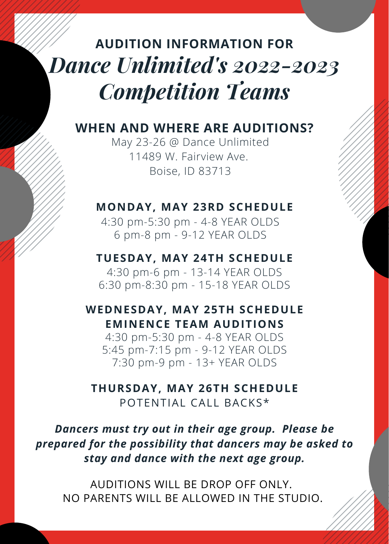# *Dance Unlimited's 2022-2023 Competition Teams* **AUDITION INFORMATION FOR**

#### **WHEN AND WHERE ARE AUDITIONS?**

May 23-26 @ Dance Unlimited 11489 W. Fairview Ave. Boise, ID 83713

#### **MONDAY, MAY 23RD SCHEDULE**

4:30 pm-5:30 pm - 4-8 YEAR OLDS 6 pm-8 pm - 9-12 YEAR OLDS

**TUESDAY, MAY 24TH SCHEDULE** 4:30 pm-6 pm - 13-14 YEAR OLDS 6:30 pm-8:30 pm - 15-18 YEAR OLDS

**WEDNESDAY, MAY 25TH SCHEDULE EMINENCE TEAM AUDITIONS**

4:30 pm-5:30 pm - 4-8 YEAR OLDS 5:45 pm-7:15 pm - 9-12 YEAR OLDS 7:30 pm-9 pm - 13+ YEAR OLDS

#### **THURSDAY, MAY 26TH SCHEDULE** POTENTIAL CALL BACKS\*

*Dancers must try out in their age group. Please be prepared for the possibility that dancers may be asked to stay and dance with the next age group.*

AUDITIONS WILL BE DROP OFF ONLY. NO PARENTS WILL BE ALLOWED IN THE STUDIO.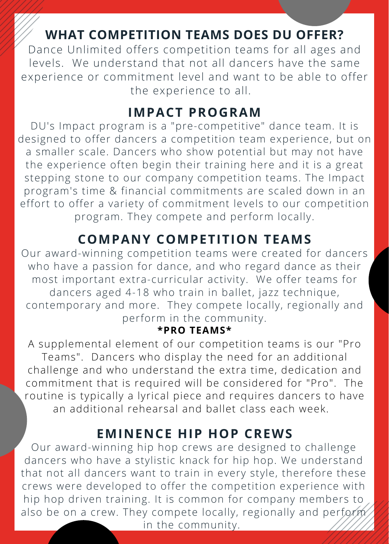# **WHAT COMPETITION TEAMS DOES DU OFFER?**

Dance Unlimited offers competition teams for all ages and levels. We understand that not all dancers have the same experience or commitment level and want to be able to offer the experience to all.

#### **IMPACT PROGRAM**

DU's Impact program is a "pre-competitive" dance team. It is designed to offer dancers a competition team experience, but on a smaller scale. Dancers who show potential but may not have the experience often begin their training here and it is a great stepping stone to our company competition teams. The Impact program's time & financial commitments are scaled down in an effort to offer a variety of commitment levels to our competition program. They compete and perform locally.

# **COMPANY COMPETITION TEAMS**

Our award-winning competition teams were created for dancers who have a passion for dance, and who regard dance as their most important extra-curricular activity. We offer teams for dancers aged 4-18 who train in ballet, jazz technique, contemporary and more. They compete locally, regionally and perform in the community.

#### **\*PRO TEAMS\***

A supplemental element of our competition teams is our "Pro Teams". Dancers who display the need for an additional challenge and who understand the extra time, dedication and commitment that is required will be considered for "Pro". The routine is typically a lyrical piece and requires dancers to have an additional rehearsal and ballet class each week.

#### **EMINENCE HIP HOP CREWS**

Our award-winning hip hop crews are designed to challenge dancers who have a stylistic knack for hip hop. We understand that not all dancers want to train in every style, therefore these crews were developed to offer the competition experience with hip hop driven training. It is common for company members to also be on a crew. They compete locally, regionally and perform in the community.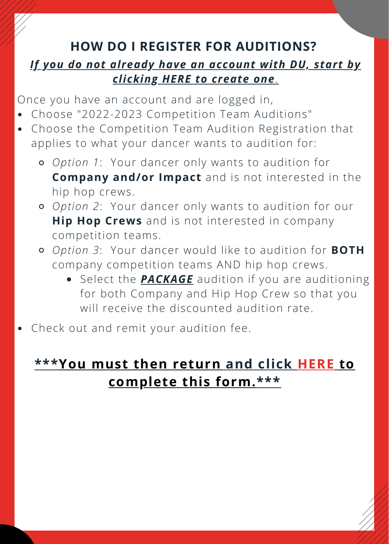# **HOW DO I REGISTER FOR AUDITIONS?**

#### *If you do not already have an [account](https://app.thestudiodirector.com/danceunlimitedstudios/portal.sd?page=Login) with DU, start by clicking HERE to create one*[.](https://app.thestudiodirector.com/danceunlimitedstudios/portal.sd?page=Login)

Once you have an account and are logged in,

- Choose "2022-2023 Competition Team Auditions"
- Choose the Competition Team Audition Registration that applies to what your dancer wants to audition for:
	- *Option 1*: Your dancer only wants to audition for **Company and/or Impact** and is not interested in the hip hop crews.
	- *Option 2*: Your dancer only wants to audition for our **Hip Hop Crews** and is not interested in company competition teams.
	- *Option 3*: Your dancer would like to audition for **BOTH** company competition teams AND hip hop crews.
		- **Select the <b>PACKAGE** audition if you are auditioning for both Company and Hip Hop Crew so that you will receive the discounted audition rate.
- Check out and remit your audition fee.

# **[\\*\\*\\*Y](https://forms.gle/weYoynNT7X8bR4L18)ou must then [return](https://forms.gle/weYoynNT7X8bR4L18) and [click](https://forms.gle/weYoynNT7X8bR4L18) [HERE](https://forms.gle/weYoynNT7X8bR4L18) to [complete](https://forms.gle/weYoynNT7X8bR4L18) this form.[\\*\\*\\*](https://forms.gle/weYoynNT7X8bR4L18)**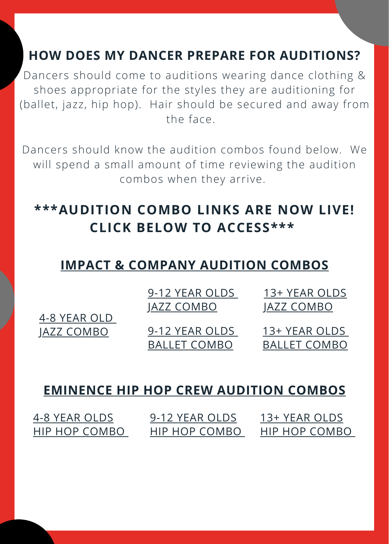## **HOW DOES MY DANCER PREPARE FOR AUDITIONS?**

Dancers should come to auditions wearing dance clothing & shoes appropriate for the styles they are auditioning for (ballet, jazz, hip hop). Hair should be secured and away from the face.

Dancers should know the audition combos found below. We will spend a small amount of time reviewing the audition combos when they arrive.

# **\*\*\*AUDITION COMBO LINKS ARE NOW LIVE! CLICK BELOW TO ACCESS\*\*\***

# **[I](https://www.dropbox.com/sh/7arltxbqfl2e8tk/AABesw7MZHqvL5acEuGER_02a?dl=0)MPACT & [COMPANY](https://www.dropbox.com/sh/7arltxbqfl2e8tk/AABesw7MZHqvL5acEuGER_02a?dl=0) AUDITION COMBOS**

|              | 9-12 YEAR OLDS      | 13+ YEAR OLDS       |
|--------------|---------------------|---------------------|
|              | <u>JAZZ COMBO</u>   | <u>JAZZ COMBO</u>   |
| 4-8 YEAR OLD |                     |                     |
| JAZZ COMBO   | 9-12 YEAR OLDS      | 13+ YEAR OLDS       |
|              | <b>BALLET COMBO</b> | <b>BALLET COMBO</b> |

### **[EMINENCE](https://www.dropbox.com/sh/7arltxbqfl2e8tk/AABesw7MZHqvL5acEuGER_02a?dl=0) HIP HOP CREW AUDITION COMBOS**

| 4-8 YEAR OLDS | 9-12 YEAR OLDS | 13+ YEAR OLDS |
|---------------|----------------|---------------|
| HIP HOP COMBO | HIP HOP COMBO  | HIP HOP COMBO |